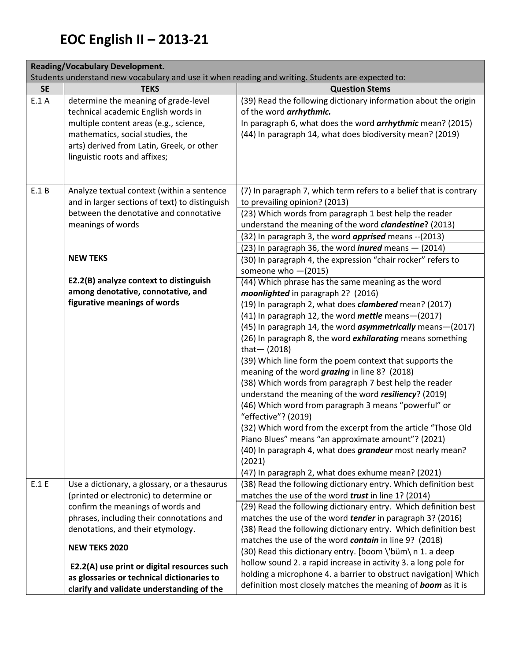| <b>Reading/Vocabulary Development.</b> |                                                                                                   |                                                                                                                    |  |
|----------------------------------------|---------------------------------------------------------------------------------------------------|--------------------------------------------------------------------------------------------------------------------|--|
|                                        | Students understand new vocabulary and use it when reading and writing. Students are expected to: |                                                                                                                    |  |
| <b>SE</b>                              | <b>TEKS</b>                                                                                       | <b>Question Stems</b>                                                                                              |  |
| E.1A                                   | determine the meaning of grade-level                                                              | (39) Read the following dictionary information about the origin                                                    |  |
|                                        | technical academic English words in                                                               | of the word <i>arrhythmic</i> .                                                                                    |  |
|                                        | multiple content areas (e.g., science,                                                            | In paragraph 6, what does the word arrhythmic mean? (2015)                                                         |  |
|                                        | mathematics, social studies, the                                                                  | (44) In paragraph 14, what does biodiversity mean? (2019)                                                          |  |
|                                        | arts) derived from Latin, Greek, or other                                                         |                                                                                                                    |  |
|                                        | linguistic roots and affixes;                                                                     |                                                                                                                    |  |
|                                        |                                                                                                   |                                                                                                                    |  |
| E.1 B                                  | Analyze textual context (within a sentence                                                        | (7) In paragraph 7, which term refers to a belief that is contrary                                                 |  |
|                                        | and in larger sections of text) to distinguish                                                    | to prevailing opinion? (2013)                                                                                      |  |
|                                        | between the denotative and connotative                                                            | (23) Which words from paragraph 1 best help the reader                                                             |  |
|                                        | meanings of words                                                                                 | understand the meaning of the word clandestine? (2013)                                                             |  |
|                                        |                                                                                                   | (32) In paragraph 3, the word <i>apprised</i> means -- (2013)                                                      |  |
|                                        |                                                                                                   | (23) In paragraph 36, the word <i>inured</i> means $-$ (2014)                                                      |  |
|                                        | <b>NEW TEKS</b>                                                                                   | (30) In paragraph 4, the expression "chair rocker" refers to                                                       |  |
|                                        |                                                                                                   | someone who $-(2015)$                                                                                              |  |
|                                        | E2.2(B) analyze context to distinguish                                                            | (44) Which phrase has the same meaning as the word                                                                 |  |
|                                        | among denotative, connotative, and                                                                | moonlighted in paragraph 2? (2016)                                                                                 |  |
|                                        | figurative meanings of words                                                                      | (19) In paragraph 2, what does clambered mean? (2017)                                                              |  |
|                                        |                                                                                                   | (41) In paragraph 12, the word mettle means-(2017)                                                                 |  |
|                                        |                                                                                                   | (45) In paragraph 14, the word <i>asymmetrically</i> means-(2017)                                                  |  |
|                                        |                                                                                                   | (26) In paragraph 8, the word exhilarating means something                                                         |  |
|                                        |                                                                                                   | that $-$ (2018)                                                                                                    |  |
|                                        |                                                                                                   | (39) Which line form the poem context that supports the                                                            |  |
|                                        |                                                                                                   | meaning of the word grazing in line 8? (2018)                                                                      |  |
|                                        |                                                                                                   | (38) Which words from paragraph 7 best help the reader                                                             |  |
|                                        |                                                                                                   | understand the meaning of the word resiliency? (2019)                                                              |  |
|                                        |                                                                                                   | (46) Which word from paragraph 3 means "powerful" or                                                               |  |
|                                        |                                                                                                   | "effective"? (2019)                                                                                                |  |
|                                        |                                                                                                   | (32) Which word from the excerpt from the article "Those Old<br>Piano Blues" means "an approximate amount"? (2021) |  |
|                                        |                                                                                                   | (40) In paragraph 4, what does <i>grandeur</i> most nearly mean?                                                   |  |
|                                        |                                                                                                   | (2021)                                                                                                             |  |
|                                        |                                                                                                   | (47) In paragraph 2, what does exhume mean? (2021)                                                                 |  |
| E.1 E                                  | Use a dictionary, a glossary, or a thesaurus                                                      | (38) Read the following dictionary entry. Which definition best                                                    |  |
|                                        | (printed or electronic) to determine or                                                           | matches the use of the word <i>trust</i> in line 1? (2014)                                                         |  |
|                                        | confirm the meanings of words and                                                                 | (29) Read the following dictionary entry. Which definition best                                                    |  |
|                                        | phrases, including their connotations and                                                         | matches the use of the word tender in paragraph 3? (2016)                                                          |  |
|                                        | denotations, and their etymology.                                                                 | (38) Read the following dictionary entry. Which definition best                                                    |  |
|                                        |                                                                                                   | matches the use of the word contain in line 9? (2018)                                                              |  |
|                                        | <b>NEW TEKS 2020</b>                                                                              | (30) Read this dictionary entry. [boom \'büm\ n 1. a deep                                                          |  |
|                                        | E2.2(A) use print or digital resources such                                                       | hollow sound 2. a rapid increase in activity 3. a long pole for                                                    |  |
|                                        | as glossaries or technical dictionaries to                                                        | holding a microphone 4. a barrier to obstruct navigation] Which                                                    |  |
|                                        | clarify and validate understanding of the                                                         | definition most closely matches the meaning of boom as it is                                                       |  |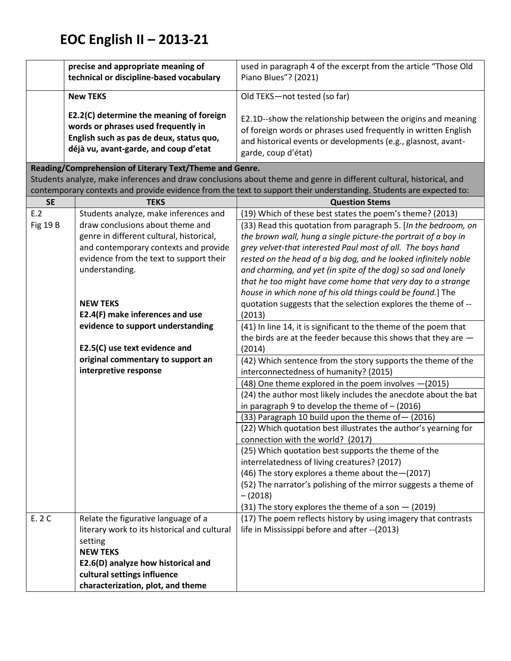|                 | precise and appropriate meaning of                      | used in paragraph 4 of the excerpt from the article "Those Old                                                       |
|-----------------|---------------------------------------------------------|----------------------------------------------------------------------------------------------------------------------|
|                 | technical or discipline-based vocabulary                | Piano Blues"? (2021)                                                                                                 |
|                 |                                                         |                                                                                                                      |
|                 | <b>New TEKS</b>                                         | Old TEKS-not tested (so far)                                                                                         |
|                 |                                                         |                                                                                                                      |
|                 | E2.2(C) determine the meaning of foreign                | E2.1D--show the relationship between the origins and meaning                                                         |
|                 | words or phrases used frequently in                     | of foreign words or phrases used frequently in written English                                                       |
|                 | English such as pas de deux, status quo,                | and historical events or developments (e.g., glasnost, avant-                                                        |
|                 | déjà vu, avant-garde, and coup d'etat                   | garde, coup d'état)                                                                                                  |
|                 | Reading/Comprehension of Literary Text/Theme and Genre. |                                                                                                                      |
|                 |                                                         | Students analyze, make inferences and draw conclusions about theme and genre in different cultural, historical, and  |
|                 |                                                         | contemporary contexts and provide evidence from the text to support their understanding. Students are expected to:   |
| <b>SE</b>       | <b>TEKS</b>                                             | <b>Question Stems</b>                                                                                                |
| E.2             | Students analyze, make inferences and                   | (19) Which of these best states the poem's theme? (2013)                                                             |
| <b>Fig 19 B</b> | draw conclusions about theme and                        | (33) Read this quotation from paragraph 5. [In the bedroom, on                                                       |
|                 | genre in different cultural, historical,                | the brown wall, hung a single picture-the portrait of a boy in                                                       |
|                 | and contemporary contexts and provide                   | grey velvet-that interested Paul most of all. The boys hand                                                          |
|                 | evidence from the text to support their                 | rested on the head of a big dog, and he looked infinitely noble                                                      |
|                 | understanding.                                          | and charming, and yet (in spite of the dog) so sad and lonely                                                        |
|                 |                                                         | that he too might have come home that very day to a strange                                                          |
|                 |                                                         | house in which none of his old things could be found.] The                                                           |
|                 | <b>NEW TEKS</b>                                         | quotation suggests that the selection explores the theme of --                                                       |
|                 | E2.4(F) make inferences and use                         | (2013)                                                                                                               |
|                 | evidence to support understanding                       | (41) In line 14, it is significant to the theme of the poem that                                                     |
|                 |                                                         | the birds are at the feeder because this shows that they are $-$                                                     |
|                 | E2.5(C) use text evidence and                           | (2014)                                                                                                               |
|                 | original commentary to support an                       |                                                                                                                      |
|                 | interpretive response                                   | (42) Which sentence from the story supports the theme of the                                                         |
|                 |                                                         | interconnectedness of humanity? (2015)                                                                               |
|                 |                                                         | (48) One theme explored in the poem involves - (2015)                                                                |
|                 |                                                         | (24) the author most likely includes the anecdote about the bat<br>in paragraph 9 to develop the theme of $-$ (2016) |
|                 |                                                         | (33) Paragraph 10 build upon the theme of - (2016)                                                                   |
|                 |                                                         |                                                                                                                      |
|                 |                                                         | (22) Which quotation best illustrates the author's yearning for                                                      |
|                 |                                                         | connection with the world? (2017)<br>(25) Which quotation best supports the theme of the                             |
|                 |                                                         |                                                                                                                      |
|                 |                                                         | interrelatedness of living creatures? (2017)                                                                         |
|                 |                                                         | (46) The story explores a theme about the - (2017)                                                                   |
|                 |                                                         | (52) The narrator's polishing of the mirror suggests a theme of                                                      |
|                 |                                                         | $-(2018)$                                                                                                            |
|                 |                                                         | (31) The story explores the theme of a son $-$ (2019)                                                                |
| E. 2 C          | Relate the figurative language of a                     | (17) The poem reflects history by using imagery that contrasts                                                       |
|                 | literary work to its historical and cultural            | life in Mississippi before and after -- (2013)                                                                       |
|                 | setting                                                 |                                                                                                                      |
|                 | <b>NEW TEKS</b>                                         |                                                                                                                      |
|                 | E2.6(D) analyze how historical and                      |                                                                                                                      |
|                 | cultural settings influence                             |                                                                                                                      |
|                 | characterization, plot, and theme                       |                                                                                                                      |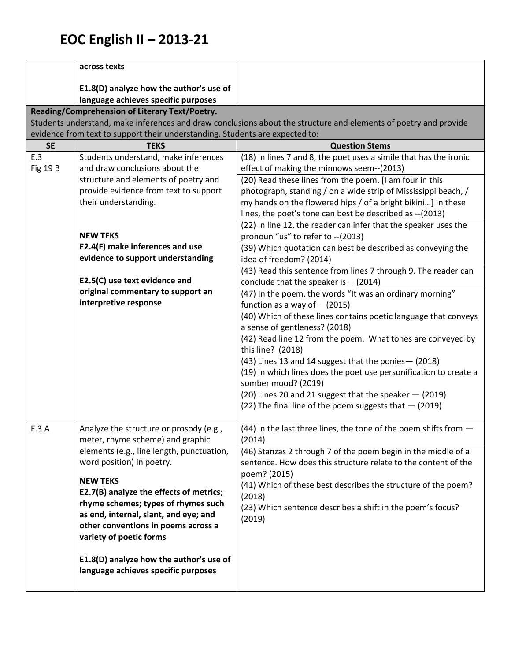|                        | across texts                                                                                                                                                                                                                                                                                                               |                                                                                                                                                                                                                                                                                                                                                           |
|------------------------|----------------------------------------------------------------------------------------------------------------------------------------------------------------------------------------------------------------------------------------------------------------------------------------------------------------------------|-----------------------------------------------------------------------------------------------------------------------------------------------------------------------------------------------------------------------------------------------------------------------------------------------------------------------------------------------------------|
|                        | E1.8(D) analyze how the author's use of                                                                                                                                                                                                                                                                                    |                                                                                                                                                                                                                                                                                                                                                           |
|                        | language achieves specific purposes                                                                                                                                                                                                                                                                                        |                                                                                                                                                                                                                                                                                                                                                           |
|                        | Reading/Comprehension of Literary Text/Poetry.                                                                                                                                                                                                                                                                             |                                                                                                                                                                                                                                                                                                                                                           |
|                        |                                                                                                                                                                                                                                                                                                                            | Students understand, make inferences and draw conclusions about the structure and elements of poetry and provide                                                                                                                                                                                                                                          |
|                        | evidence from text to support their understanding. Students are expected to:                                                                                                                                                                                                                                               |                                                                                                                                                                                                                                                                                                                                                           |
| <b>SE</b>              | <b>TEKS</b>                                                                                                                                                                                                                                                                                                                | <b>Question Stems</b>                                                                                                                                                                                                                                                                                                                                     |
| E.3<br><b>Fig 19 B</b> | Students understand, make inferences<br>and draw conclusions about the<br>structure and elements of poetry and                                                                                                                                                                                                             | (18) In lines 7 and 8, the poet uses a simile that has the ironic<br>effect of making the minnows seem--(2013)<br>(20) Read these lines from the poem. [I am four in this                                                                                                                                                                                 |
|                        | provide evidence from text to support<br>their understanding.                                                                                                                                                                                                                                                              | photograph, standing / on a wide strip of Mississippi beach, /<br>my hands on the flowered hips / of a bright bikini] In these<br>lines, the poet's tone can best be described as -- (2013)<br>(22) In line 12, the reader can infer that the speaker uses the                                                                                            |
|                        | <b>NEW TEKS</b>                                                                                                                                                                                                                                                                                                            | pronoun "us" to refer to -- (2013)                                                                                                                                                                                                                                                                                                                        |
|                        | E2.4(F) make inferences and use<br>evidence to support understanding                                                                                                                                                                                                                                                       | (39) Which quotation can best be described as conveying the<br>idea of freedom? (2014)                                                                                                                                                                                                                                                                    |
|                        | E2.5(C) use text evidence and<br>original commentary to support an                                                                                                                                                                                                                                                         | (43) Read this sentence from lines 7 through 9. The reader can<br>conclude that the speaker is $-(2014)$                                                                                                                                                                                                                                                  |
|                        | interpretive response                                                                                                                                                                                                                                                                                                      | (47) In the poem, the words "It was an ordinary morning"<br>function as a way of $-(2015)$<br>(40) Which of these lines contains poetic language that conveys<br>a sense of gentleness? (2018)                                                                                                                                                            |
|                        |                                                                                                                                                                                                                                                                                                                            | (42) Read line 12 from the poem. What tones are conveyed by<br>this line? (2018)<br>(43) Lines 13 and 14 suggest that the ponies - (2018)<br>(19) In which lines does the poet use personification to create a<br>somber mood? (2019)<br>(20) Lines 20 and 21 suggest that the speaker - (2019)<br>(22) The final line of the poem suggests that - (2019) |
| E.3 A                  | Analyze the structure or prosody (e.g.,                                                                                                                                                                                                                                                                                    | (44) In the last three lines, the tone of the poem shifts from -                                                                                                                                                                                                                                                                                          |
|                        | meter, rhyme scheme) and graphic<br>elements (e.g., line length, punctuation,<br>word position) in poetry.<br><b>NEW TEKS</b><br>E2.7(B) analyze the effects of metrics;<br>rhyme schemes; types of rhymes such<br>as end, internal, slant, and eye; and<br>other conventions in poems across a<br>variety of poetic forms | (2014)<br>(46) Stanzas 2 through 7 of the poem begin in the middle of a<br>sentence. How does this structure relate to the content of the<br>poem? (2015)<br>(41) Which of these best describes the structure of the poem?<br>(2018)<br>(23) Which sentence describes a shift in the poem's focus?<br>(2019)                                              |
|                        | E1.8(D) analyze how the author's use of<br>language achieves specific purposes                                                                                                                                                                                                                                             |                                                                                                                                                                                                                                                                                                                                                           |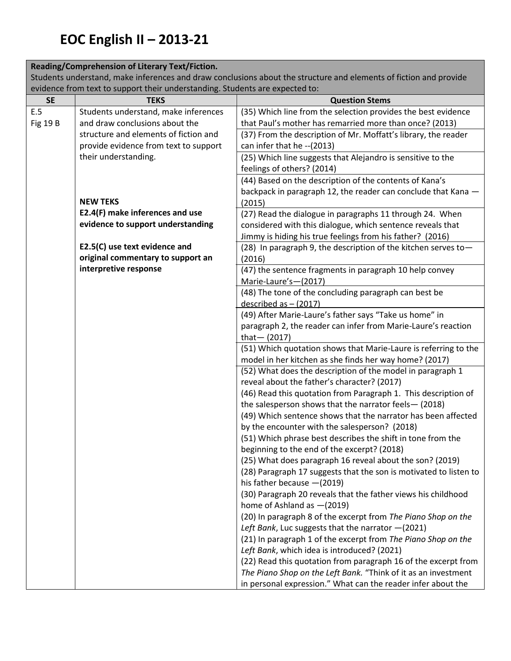#### **Reading/Comprehension of Literary Text/Fiction.**

Students understand, make inferences and draw conclusions about the structure and elements of fiction and provide evidence from text to support their understanding. Students are expected to:

| <b>SE</b>       | chached hom tont to support their unacretaming, students are expected to:<br><b>TEKS</b> | <b>Question Stems</b>                                                                                                  |
|-----------------|------------------------------------------------------------------------------------------|------------------------------------------------------------------------------------------------------------------------|
| E.5             | Students understand, make inferences                                                     | (35) Which line from the selection provides the best evidence                                                          |
| <b>Fig 19 B</b> | and draw conclusions about the                                                           | that Paul's mother has remarried more than once? (2013)                                                                |
|                 | structure and elements of fiction and                                                    | (37) From the description of Mr. Moffatt's library, the reader                                                         |
|                 | provide evidence from text to support                                                    | can infer that he -- (2013)                                                                                            |
|                 | their understanding.                                                                     | (25) Which line suggests that Alejandro is sensitive to the                                                            |
|                 |                                                                                          | feelings of others? (2014)                                                                                             |
|                 |                                                                                          | (44) Based on the description of the contents of Kana's                                                                |
|                 |                                                                                          | backpack in paragraph 12, the reader can conclude that Kana -                                                          |
|                 | <b>NEW TEKS</b>                                                                          | (2015)                                                                                                                 |
|                 | E2.4(F) make inferences and use                                                          | (27) Read the dialogue in paragraphs 11 through 24. When                                                               |
|                 | evidence to support understanding                                                        | considered with this dialogue, which sentence reveals that                                                             |
|                 |                                                                                          | Jimmy is hiding his true feelings from his father? (2016)                                                              |
|                 | E2.5(C) use text evidence and                                                            | (28) In paragraph 9, the description of the kitchen serves to-                                                         |
|                 | original commentary to support an                                                        | (2016)                                                                                                                 |
|                 | interpretive response                                                                    | (47) the sentence fragments in paragraph 10 help convey                                                                |
|                 |                                                                                          | Marie-Laure's-(2017)                                                                                                   |
|                 |                                                                                          | (48) The tone of the concluding paragraph can best be                                                                  |
|                 |                                                                                          | described as $-$ (2017)                                                                                                |
|                 |                                                                                          | (49) After Marie-Laure's father says "Take us home" in                                                                 |
|                 |                                                                                          | paragraph 2, the reader can infer from Marie-Laure's reaction                                                          |
|                 |                                                                                          | that $-$ (2017)                                                                                                        |
|                 |                                                                                          | (51) Which quotation shows that Marie-Laure is referring to the                                                        |
|                 |                                                                                          | model in her kitchen as she finds her way home? (2017)                                                                 |
|                 |                                                                                          | (52) What does the description of the model in paragraph 1                                                             |
|                 |                                                                                          | reveal about the father's character? (2017)                                                                            |
|                 |                                                                                          | (46) Read this quotation from Paragraph 1. This description of<br>the salesperson shows that the narrator feels-(2018) |
|                 |                                                                                          | (49) Which sentence shows that the narrator has been affected                                                          |
|                 |                                                                                          | by the encounter with the salesperson? (2018)                                                                          |
|                 |                                                                                          | (51) Which phrase best describes the shift in tone from the                                                            |
|                 |                                                                                          | beginning to the end of the excerpt? (2018)                                                                            |
|                 |                                                                                          | (25) What does paragraph 16 reveal about the son? (2019)                                                               |
|                 |                                                                                          | (28) Paragraph 17 suggests that the son is motivated to listen to                                                      |
|                 |                                                                                          | his father because $-(2019)$                                                                                           |
|                 |                                                                                          | (30) Paragraph 20 reveals that the father views his childhood                                                          |
|                 |                                                                                          | home of Ashland as $-(2019)$                                                                                           |
|                 |                                                                                          | (20) In paragraph 8 of the excerpt from The Piano Shop on the                                                          |
|                 |                                                                                          | Left Bank, Luc suggests that the narrator -(2021)                                                                      |
|                 |                                                                                          | (21) In paragraph 1 of the excerpt from The Piano Shop on the                                                          |
|                 |                                                                                          | Left Bank, which idea is introduced? (2021)                                                                            |
|                 |                                                                                          | (22) Read this quotation from paragraph 16 of the excerpt from                                                         |
|                 |                                                                                          | The Piano Shop on the Left Bank. "Think of it as an investment                                                         |
|                 |                                                                                          | in personal expression." What can the reader infer about the                                                           |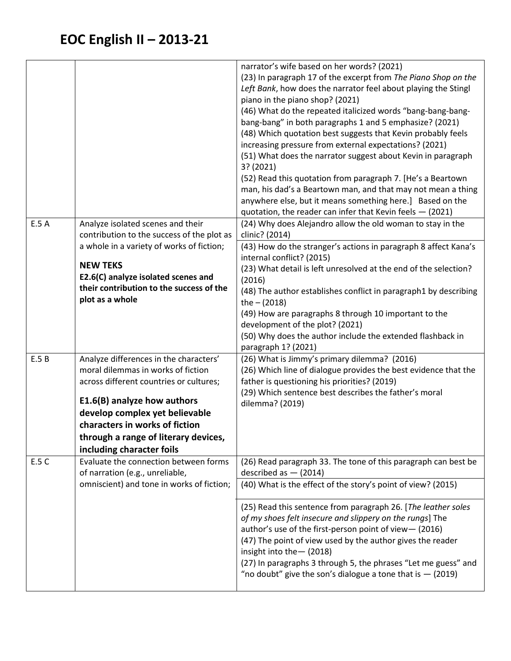|       |                                            | narrator's wife based on her words? (2021)                                                            |
|-------|--------------------------------------------|-------------------------------------------------------------------------------------------------------|
|       |                                            | (23) In paragraph 17 of the excerpt from The Piano Shop on the                                        |
|       |                                            | Left Bank, how does the narrator feel about playing the Stingl                                        |
|       |                                            | piano in the piano shop? (2021)                                                                       |
|       |                                            | (46) What do the repeated italicized words "bang-bang-bang-                                           |
|       |                                            | bang-bang" in both paragraphs 1 and 5 emphasize? (2021)                                               |
|       |                                            | (48) Which quotation best suggests that Kevin probably feels                                          |
|       |                                            | increasing pressure from external expectations? (2021)                                                |
|       |                                            | (51) What does the narrator suggest about Kevin in paragraph                                          |
|       |                                            | 3? (2021)                                                                                             |
|       |                                            | (52) Read this quotation from paragraph 7. [He's a Beartown                                           |
|       |                                            | man, his dad's a Beartown man, and that may not mean a thing                                          |
|       |                                            | anywhere else, but it means something here.] Based on the                                             |
|       |                                            | quotation, the reader can infer that Kevin feels $-$ (2021)                                           |
| E.5 A | Analyze isolated scenes and their          | (24) Why does Alejandro allow the old woman to stay in the                                            |
|       | contribution to the success of the plot as | clinic? (2014)                                                                                        |
|       | a whole in a variety of works of fiction;  | (43) How do the stranger's actions in paragraph 8 affect Kana's                                       |
|       | <b>NEW TEKS</b>                            | internal conflict? (2015)                                                                             |
|       | E2.6(C) analyze isolated scenes and        | (23) What detail is left unresolved at the end of the selection?                                      |
|       | their contribution to the success of the   | (2016)                                                                                                |
|       | plot as a whole                            | (48) The author establishes conflict in paragraph1 by describing                                      |
|       |                                            | the $- (2018)$                                                                                        |
|       |                                            | (49) How are paragraphs 8 through 10 important to the                                                 |
|       |                                            | development of the plot? (2021)                                                                       |
|       |                                            | (50) Why does the author include the extended flashback in                                            |
|       |                                            | paragraph 1? (2021)                                                                                   |
| E.5B  | Analyze differences in the characters'     | (26) What is Jimmy's primary dilemma? (2016)                                                          |
|       | moral dilemmas in works of fiction         | (26) Which line of dialogue provides the best evidence that the                                       |
|       | across different countries or cultures;    | father is questioning his priorities? (2019)<br>(29) Which sentence best describes the father's moral |
|       | E1.6(B) analyze how authors                | dilemma? (2019)                                                                                       |
|       | develop complex yet believable             |                                                                                                       |
|       | characters in works of fiction             |                                                                                                       |
|       | through a range of literary devices,       |                                                                                                       |
|       | including character foils                  |                                                                                                       |
| E.5 C | Evaluate the connection between forms      | (26) Read paragraph 33. The tone of this paragraph can best be                                        |
|       | of narration (e.g., unreliable,            | described as $-$ (2014)                                                                               |
|       | omniscient) and tone in works of fiction;  | (40) What is the effect of the story's point of view? (2015)                                          |
|       |                                            |                                                                                                       |
|       |                                            | (25) Read this sentence from paragraph 26. [The leather soles                                         |
|       |                                            | of my shoes felt insecure and slippery on the rungs] The                                              |
|       |                                            | author's use of the first-person point of view-(2016)                                                 |
|       |                                            | (47) The point of view used by the author gives the reader                                            |
|       |                                            | insight into the - (2018)                                                                             |
|       |                                            | (27) In paragraphs 3 through 5, the phrases "Let me guess" and                                        |
|       |                                            | "no doubt" give the son's dialogue a tone that is $-$ (2019)                                          |
|       |                                            |                                                                                                       |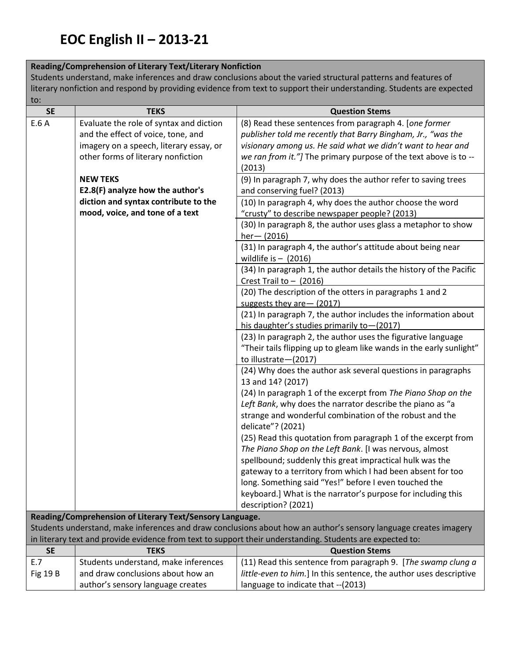#### **Reading/Comprehension of Literary Text/Literary Nonfiction**

Students understand, make inferences and draw conclusions about the varied structural patterns and features of literary nonfiction and respond by providing evidence from text to support their understanding. Students are expected to:

| <b>SE</b>       | <b>TEKS</b>                                              | <b>Question Stems</b>                                                                                            |
|-----------------|----------------------------------------------------------|------------------------------------------------------------------------------------------------------------------|
| E.6 A           | Evaluate the role of syntax and diction                  | (8) Read these sentences from paragraph 4. [one former                                                           |
|                 | and the effect of voice, tone, and                       | publisher told me recently that Barry Bingham, Jr., "was the                                                     |
|                 | imagery on a speech, literary essay, or                  | visionary among us. He said what we didn't want to hear and                                                      |
|                 | other forms of literary nonfiction                       | we ran from it."] The primary purpose of the text above is to --                                                 |
|                 |                                                          | (2013)                                                                                                           |
|                 | <b>NEW TEKS</b>                                          | (9) In paragraph 7, why does the author refer to saving trees                                                    |
|                 | E2.8(F) analyze how the author's                         | and conserving fuel? (2013)                                                                                      |
|                 | diction and syntax contribute to the                     | (10) In paragraph 4, why does the author choose the word                                                         |
|                 | mood, voice, and tone of a text                          | "crusty" to describe newspaper people? (2013)                                                                    |
|                 |                                                          | (30) In paragraph 8, the author uses glass a metaphor to show                                                    |
|                 |                                                          | $her- (2016)$                                                                                                    |
|                 |                                                          | (31) In paragraph 4, the author's attitude about being near                                                      |
|                 |                                                          | wildlife is $-$ (2016)                                                                                           |
|                 |                                                          | (34) In paragraph 1, the author details the history of the Pacific                                               |
|                 |                                                          | Crest Trail to $-$ (2016)                                                                                        |
|                 |                                                          | (20) The description of the otters in paragraphs 1 and 2                                                         |
|                 |                                                          | suggests they are - (2017)                                                                                       |
|                 |                                                          | (21) In paragraph 7, the author includes the information about                                                   |
|                 |                                                          | his daughter's studies primarily to-(2017)                                                                       |
|                 |                                                          | (23) In paragraph 2, the author uses the figurative language                                                     |
|                 |                                                          | "Their tails flipping up to gleam like wands in the early sunlight"                                              |
|                 |                                                          | to illustrate-(2017)                                                                                             |
|                 |                                                          | (24) Why does the author ask several questions in paragraphs<br>13 and 14? (2017)                                |
|                 |                                                          | (24) In paragraph 1 of the excerpt from The Piano Shop on the                                                    |
|                 |                                                          | Left Bank, why does the narrator describe the piano as "a                                                        |
|                 |                                                          | strange and wonderful combination of the robust and the                                                          |
|                 |                                                          | delicate"? (2021)                                                                                                |
|                 |                                                          | (25) Read this quotation from paragraph 1 of the excerpt from                                                    |
|                 |                                                          | The Piano Shop on the Left Bank. [I was nervous, almost                                                          |
|                 |                                                          | spellbound; suddenly this great impractical hulk was the                                                         |
|                 |                                                          | gateway to a territory from which I had been absent for too                                                      |
|                 |                                                          | long. Something said "Yes!" before I even touched the                                                            |
|                 |                                                          | keyboard.] What is the narrator's purpose for including this                                                     |
|                 |                                                          | description? (2021)                                                                                              |
|                 | Reading/Comprehension of Literary Text/Sensory Language. |                                                                                                                  |
|                 |                                                          | Students understand, make inferences and draw conclusions about how an author's sensory language creates imagery |
|                 |                                                          | in literary text and provide evidence from text to support their understanding. Students are expected to:        |
| <b>SE</b>       | <b>TEKS</b>                                              | <b>Question Stems</b>                                                                                            |
| E.7             | Students understand, make inferences                     | (11) Read this sentence from paragraph 9. [The swamp clung a                                                     |
| <b>Fig 19 B</b> | and draw conclusions about how an                        | little-even to him.] In this sentence, the author uses descriptive                                               |
|                 | author's sensory language creates                        | language to indicate that -- (2013)                                                                              |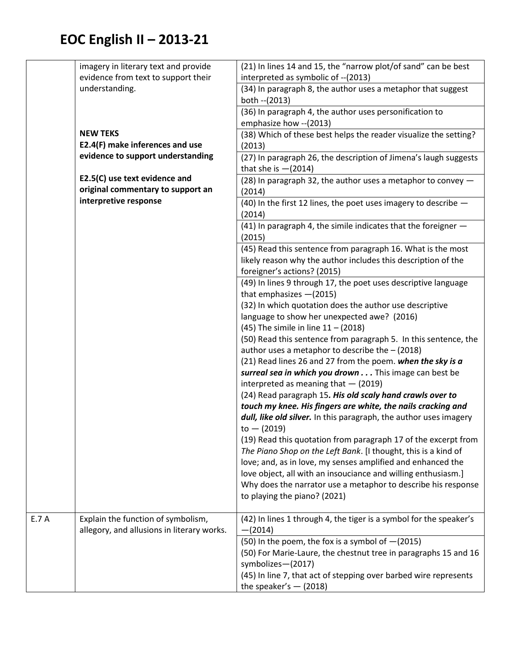|      | imagery in literary text and provide                                             | (21) In lines 14 and 15, the "narrow plot/of sand" can be best                                                        |
|------|----------------------------------------------------------------------------------|-----------------------------------------------------------------------------------------------------------------------|
|      | evidence from text to support their                                              | interpreted as symbolic of -- (2013)                                                                                  |
|      | understanding.                                                                   | (34) In paragraph 8, the author uses a metaphor that suggest                                                          |
|      |                                                                                  | both -- (2013)                                                                                                        |
|      |                                                                                  | (36) In paragraph 4, the author uses personification to                                                               |
|      |                                                                                  | emphasize how -- (2013)                                                                                               |
|      | <b>NEW TEKS</b>                                                                  | (38) Which of these best helps the reader visualize the setting?                                                      |
|      | E2.4(F) make inferences and use                                                  | (2013)                                                                                                                |
|      | evidence to support understanding                                                | (27) In paragraph 26, the description of Jimena's laugh suggests                                                      |
|      |                                                                                  | that she is $-(2014)$                                                                                                 |
|      | E2.5(C) use text evidence and                                                    | (28) In paragraph 32, the author uses a metaphor to convey $-$                                                        |
|      | original commentary to support an                                                | (2014)                                                                                                                |
|      | interpretive response                                                            | (40) In the first 12 lines, the poet uses imagery to describe -                                                       |
|      |                                                                                  | (2014)                                                                                                                |
|      |                                                                                  | (41) In paragraph 4, the simile indicates that the foreigner -                                                        |
|      |                                                                                  | (2015)                                                                                                                |
|      |                                                                                  | (45) Read this sentence from paragraph 16. What is the most                                                           |
|      |                                                                                  | likely reason why the author includes this description of the                                                         |
|      |                                                                                  | foreigner's actions? (2015)                                                                                           |
|      |                                                                                  | (49) In lines 9 through 17, the poet uses descriptive language                                                        |
|      |                                                                                  | that emphasizes $-(2015)$                                                                                             |
|      |                                                                                  | (32) In which quotation does the author use descriptive                                                               |
|      |                                                                                  | language to show her unexpected awe? (2016)                                                                           |
|      |                                                                                  | (45) The simile in line $11 - (2018)$                                                                                 |
|      |                                                                                  | (50) Read this sentence from paragraph 5. In this sentence, the                                                       |
|      |                                                                                  | author uses a metaphor to describe the $-$ (2018)                                                                     |
|      |                                                                                  | (21) Read lines 26 and 27 from the poem. when the sky is a                                                            |
|      |                                                                                  | surreal sea in which you drown This image can best be                                                                 |
|      |                                                                                  | interpreted as meaning that $-$ (2019)                                                                                |
|      |                                                                                  | (24) Read paragraph 15. His old scaly hand crawls over to                                                             |
|      |                                                                                  | touch my knee. His fingers are white, the nails cracking and                                                          |
|      |                                                                                  | dull, like old silver. In this paragraph, the author uses imagery                                                     |
|      |                                                                                  | to $-$ (2019)                                                                                                         |
|      |                                                                                  | (19) Read this quotation from paragraph 17 of the excerpt from                                                        |
|      |                                                                                  | The Piano Shop on the Left Bank. [I thought, this is a kind of                                                        |
|      |                                                                                  | love; and, as in love, my senses amplified and enhanced the                                                           |
|      |                                                                                  | love object, all with an insouciance and willing enthusiasm.]                                                         |
|      |                                                                                  | Why does the narrator use a metaphor to describe his response                                                         |
|      |                                                                                  | to playing the piano? (2021)                                                                                          |
| E.7A |                                                                                  |                                                                                                                       |
|      | Explain the function of symbolism,<br>allegory, and allusions in literary works. | (42) In lines 1 through 4, the tiger is a symbol for the speaker's                                                    |
|      |                                                                                  | $-(2014)$                                                                                                             |
|      |                                                                                  | (50) In the poem, the fox is a symbol of $-(2015)$<br>(50) For Marie-Laure, the chestnut tree in paragraphs 15 and 16 |
|      |                                                                                  | symbolizes-(2017)                                                                                                     |
|      |                                                                                  | (45) In line 7, that act of stepping over barbed wire represents                                                      |
|      |                                                                                  | the speaker's $-$ (2018)                                                                                              |
|      |                                                                                  |                                                                                                                       |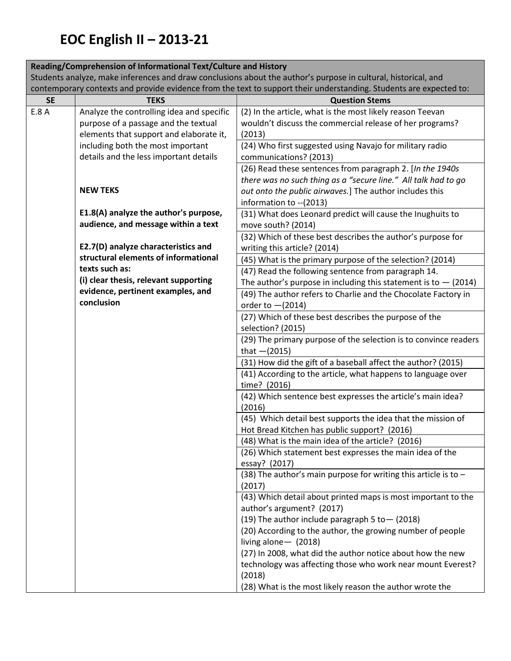|                                                                                                                | Reading/Comprehension of Informational Text/Culture and History             |                                                                                                                    |  |
|----------------------------------------------------------------------------------------------------------------|-----------------------------------------------------------------------------|--------------------------------------------------------------------------------------------------------------------|--|
| Students analyze, make inferences and draw conclusions about the author's purpose in cultural, historical, and |                                                                             |                                                                                                                    |  |
|                                                                                                                |                                                                             | contemporary contexts and provide evidence from the text to support their understanding. Students are expected to: |  |
| <b>SE</b>                                                                                                      | <b>TEKS</b>                                                                 | <b>Question Stems</b>                                                                                              |  |
| E.8 A                                                                                                          | Analyze the controlling idea and specific                                   | (2) In the article, what is the most likely reason Teevan                                                          |  |
|                                                                                                                | purpose of a passage and the textual                                        | wouldn't discuss the commercial release of her programs?                                                           |  |
|                                                                                                                | elements that support and elaborate it,                                     | (2013)                                                                                                             |  |
|                                                                                                                | including both the most important                                           | (24) Who first suggested using Navajo for military radio                                                           |  |
|                                                                                                                | details and the less important details                                      | communications? (2013)                                                                                             |  |
|                                                                                                                |                                                                             | (26) Read these sentences from paragraph 2. [In the 1940s                                                          |  |
|                                                                                                                |                                                                             | there was no such thing as a "secure line." All talk had to go                                                     |  |
|                                                                                                                | <b>NEW TEKS</b>                                                             | out onto the public airwaves.] The author includes this                                                            |  |
|                                                                                                                |                                                                             | information to -- (2013)                                                                                           |  |
|                                                                                                                | E1.8(A) analyze the author's purpose,                                       | (31) What does Leonard predict will cause the Inughuits to                                                         |  |
|                                                                                                                | audience, and message within a text                                         | move south? (2014)                                                                                                 |  |
|                                                                                                                |                                                                             | (32) Which of these best describes the author's purpose for                                                        |  |
|                                                                                                                | E2.7(D) analyze characteristics and<br>structural elements of informational | writing this article? (2014)                                                                                       |  |
|                                                                                                                | texts such as:                                                              | (45) What is the primary purpose of the selection? (2014)                                                          |  |
|                                                                                                                | (i) clear thesis, relevant supporting                                       | (47) Read the following sentence from paragraph 14.                                                                |  |
|                                                                                                                | evidence, pertinent examples, and                                           | The author's purpose in including this statement is to $-$ (2014)                                                  |  |
|                                                                                                                | conclusion                                                                  | (49) The author refers to Charlie and the Chocolate Factory in                                                     |  |
|                                                                                                                |                                                                             | order to $-(2014)$                                                                                                 |  |
|                                                                                                                |                                                                             | (27) Which of these best describes the purpose of the                                                              |  |
|                                                                                                                |                                                                             | selection? (2015)                                                                                                  |  |
|                                                                                                                |                                                                             | (29) The primary purpose of the selection is to convince readers<br>that $-(2015)$                                 |  |
|                                                                                                                |                                                                             | (31) How did the gift of a baseball affect the author? (2015)                                                      |  |
|                                                                                                                |                                                                             | (41) According to the article, what happens to language over                                                       |  |
|                                                                                                                |                                                                             | time? (2016)                                                                                                       |  |
|                                                                                                                |                                                                             | (42) Which sentence best expresses the article's main idea?                                                        |  |
|                                                                                                                |                                                                             | (2016)                                                                                                             |  |
|                                                                                                                |                                                                             | (45) Which detail best supports the idea that the mission of                                                       |  |
|                                                                                                                |                                                                             | Hot Bread Kitchen has public support? (2016)                                                                       |  |
|                                                                                                                |                                                                             | (48) What is the main idea of the article? (2016)                                                                  |  |
|                                                                                                                |                                                                             | (26) Which statement best expresses the main idea of the                                                           |  |
|                                                                                                                |                                                                             | essay? (2017)                                                                                                      |  |
|                                                                                                                |                                                                             | (38) The author's main purpose for writing this article is to $-$<br>(2017)                                        |  |
|                                                                                                                |                                                                             | (43) Which detail about printed maps is most important to the                                                      |  |
|                                                                                                                |                                                                             | author's argument? (2017)                                                                                          |  |
|                                                                                                                |                                                                             | (19) The author include paragraph 5 to - (2018)                                                                    |  |
|                                                                                                                |                                                                             | (20) According to the author, the growing number of people                                                         |  |
|                                                                                                                |                                                                             | living alone $-$ (2018)                                                                                            |  |
|                                                                                                                |                                                                             | (27) In 2008, what did the author notice about how the new                                                         |  |
|                                                                                                                |                                                                             | technology was affecting those who work near mount Everest?                                                        |  |
|                                                                                                                |                                                                             | (2018)                                                                                                             |  |
|                                                                                                                |                                                                             | (28) What is the most likely reason the author wrote the                                                           |  |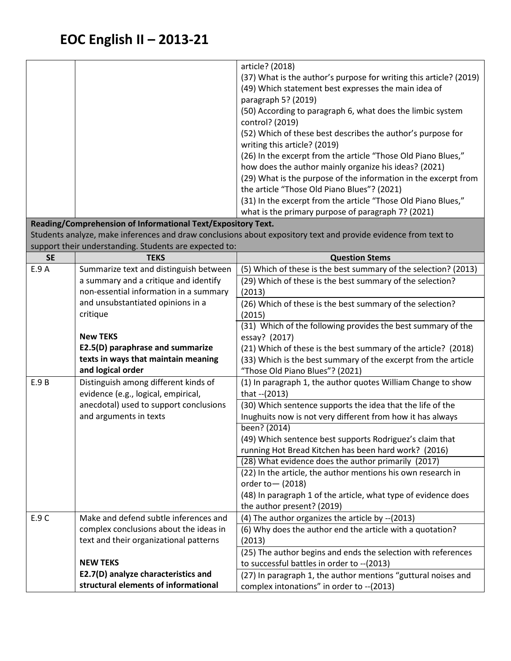|           |                                                              | article? (2018)                                                                                                |
|-----------|--------------------------------------------------------------|----------------------------------------------------------------------------------------------------------------|
|           |                                                              |                                                                                                                |
|           |                                                              | (37) What is the author's purpose for writing this article? (2019)                                             |
|           |                                                              | (49) Which statement best expresses the main idea of                                                           |
|           |                                                              | paragraph 5? (2019)                                                                                            |
|           |                                                              | (50) According to paragraph 6, what does the limbic system                                                     |
|           |                                                              | control? (2019)                                                                                                |
|           |                                                              | (52) Which of these best describes the author's purpose for                                                    |
|           |                                                              | writing this article? (2019)                                                                                   |
|           |                                                              | (26) In the excerpt from the article "Those Old Piano Blues,"                                                  |
|           |                                                              | how does the author mainly organize his ideas? (2021)                                                          |
|           |                                                              | (29) What is the purpose of the information in the excerpt from<br>the article "Those Old Piano Blues"? (2021) |
|           |                                                              |                                                                                                                |
|           |                                                              | (31) In the excerpt from the article "Those Old Piano Blues,"                                                  |
|           |                                                              | what is the primary purpose of paragraph 7? (2021)                                                             |
|           | Reading/Comprehension of Informational Text/Expository Text. |                                                                                                                |
|           |                                                              | Students analyze, make inferences and draw conclusions about expository text and provide evidence from text to |
|           | support their understanding. Students are expected to:       |                                                                                                                |
| <b>SE</b> | <b>TEKS</b>                                                  | <b>Question Stems</b>                                                                                          |
| E.9 A     | Summarize text and distinguish between                       | (5) Which of these is the best summary of the selection? (2013)                                                |
|           | a summary and a critique and identify                        | (29) Which of these is the best summary of the selection?                                                      |
|           | non-essential information in a summary                       | (2013)                                                                                                         |
|           | and unsubstantiated opinions in a                            | (26) Which of these is the best summary of the selection?                                                      |
|           | critique                                                     | (2015)                                                                                                         |
|           |                                                              | (31) Which of the following provides the best summary of the                                                   |
|           | <b>New TEKS</b>                                              | essay? (2017)                                                                                                  |
|           | E2.5(D) paraphrase and summarize                             | (21) Which of these is the best summary of the article? (2018)                                                 |
|           | texts in ways that maintain meaning                          | (33) Which is the best summary of the excerpt from the article                                                 |
|           | and logical order                                            | "Those Old Piano Blues"? (2021)                                                                                |
| E.9 B     | Distinguish among different kinds of                         | (1) In paragraph 1, the author quotes William Change to show                                                   |
|           | evidence (e.g., logical, empirical,                          | that -- (2013)                                                                                                 |
|           | anecdotal) used to support conclusions                       | (30) Which sentence supports the idea that the life of the                                                     |
|           | and arguments in texts                                       | Inughuits now is not very different from how it has always                                                     |
|           |                                                              | been? (2014)                                                                                                   |
|           |                                                              | (49) Which sentence best supports Rodriguez's claim that                                                       |
|           |                                                              | running Hot Bread Kitchen has been hard work? (2016)<br>(28) What evidence does the author primarily (2017)    |
|           |                                                              |                                                                                                                |
|           |                                                              | (22) In the article, the author mentions his own research in                                                   |
|           |                                                              | order to $-$ (2018)                                                                                            |
|           |                                                              | (48) In paragraph 1 of the article, what type of evidence does                                                 |
| E.9C      | Make and defend subtle inferences and                        | the author present? (2019)                                                                                     |
|           |                                                              | (4) The author organizes the article by -- (2013)                                                              |
|           | complex conclusions about the ideas in                       | (6) Why does the author end the article with a quotation?                                                      |
|           | text and their organizational patterns                       | (2013)                                                                                                         |
|           | <b>NEW TEKS</b>                                              | (25) The author begins and ends the selection with references                                                  |
|           | E2.7(D) analyze characteristics and                          | to successful battles in order to -- (2013)                                                                    |
|           | structural elements of informational                         | (27) In paragraph 1, the author mentions "guttural noises and                                                  |
|           |                                                              | complex intonations" in order to -- (2013)                                                                     |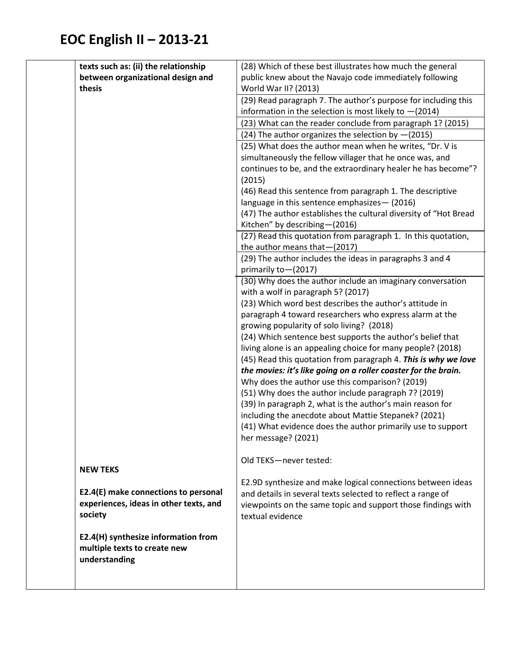| texts such as: (ii) the relationship   | (28) Which of these best illustrates how much the general                                                                  |
|----------------------------------------|----------------------------------------------------------------------------------------------------------------------------|
| between organizational design and      | public knew about the Navajo code immediately following                                                                    |
| thesis                                 | World War II? (2013)                                                                                                       |
|                                        | (29) Read paragraph 7. The author's purpose for including this                                                             |
|                                        | information in the selection is most likely to $-(2014)$                                                                   |
|                                        | (23) What can the reader conclude from paragraph 1? (2015)                                                                 |
|                                        | (24) The author organizes the selection by $-(2015)$                                                                       |
|                                        | (25) What does the author mean when he writes, "Dr. V is                                                                   |
|                                        | simultaneously the fellow villager that he once was, and                                                                   |
|                                        | continues to be, and the extraordinary healer he has become"?                                                              |
|                                        | (2015)                                                                                                                     |
|                                        | (46) Read this sentence from paragraph 1. The descriptive                                                                  |
|                                        | language in this sentence emphasizes - (2016)                                                                              |
|                                        | (47) The author establishes the cultural diversity of "Hot Bread                                                           |
|                                        | Kitchen" by describing-(2016)                                                                                              |
|                                        | (27) Read this quotation from paragraph 1. In this quotation,                                                              |
|                                        | the author means that-(2017)                                                                                               |
|                                        | (29) The author includes the ideas in paragraphs 3 and 4<br>primarily to-(2017)                                            |
|                                        | (30) Why does the author include an imaginary conversation                                                                 |
|                                        | with a wolf in paragraph 5? (2017)                                                                                         |
|                                        | (23) Which word best describes the author's attitude in                                                                    |
|                                        | paragraph 4 toward researchers who express alarm at the                                                                    |
|                                        | growing popularity of solo living? (2018)                                                                                  |
|                                        | (24) Which sentence best supports the author's belief that                                                                 |
|                                        | living alone is an appealing choice for many people? (2018)                                                                |
|                                        | (45) Read this quotation from paragraph 4. This is why we love                                                             |
|                                        | the movies: it's like going on a roller coaster for the brain.                                                             |
|                                        | Why does the author use this comparison? (2019)                                                                            |
|                                        | (51) Why does the author include paragraph 7? (2019)                                                                       |
|                                        | (39) In paragraph 2, what is the author's main reason for                                                                  |
|                                        | including the anecdote about Mattie Stepanek? (2021)                                                                       |
|                                        | (41) What evidence does the author primarily use to support                                                                |
|                                        | her message? (2021)                                                                                                        |
|                                        |                                                                                                                            |
| <b>NEW TEKS</b>                        | Old TEKS-never tested:                                                                                                     |
|                                        |                                                                                                                            |
| E2.4(E) make connections to personal   | E2.9D synthesize and make logical connections between ideas<br>and details in several texts selected to reflect a range of |
| experiences, ideas in other texts, and | viewpoints on the same topic and support those findings with                                                               |
| society                                | textual evidence                                                                                                           |
|                                        |                                                                                                                            |
| E2.4(H) synthesize information from    |                                                                                                                            |
| multiple texts to create new           |                                                                                                                            |
| understanding                          |                                                                                                                            |
|                                        |                                                                                                                            |
|                                        |                                                                                                                            |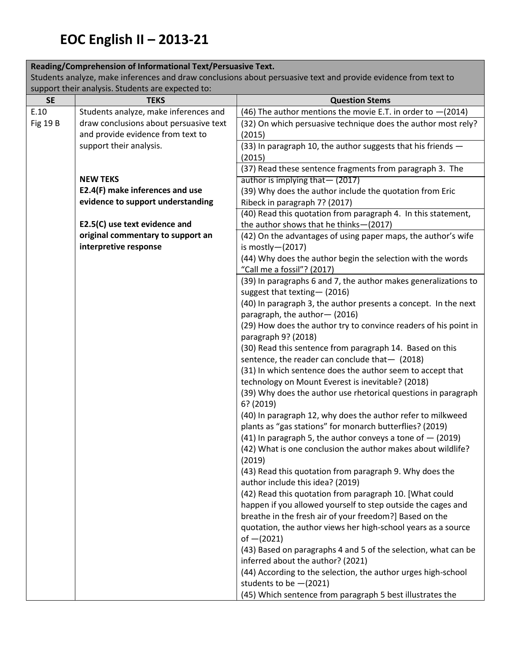#### **Reading/Comprehension of Informational Text/Persuasive Text.**

Students analyze, make inferences and draw conclusions about persuasive text and provide evidence from text to support their analysis. Students are expected to:

| <b>SE</b>       | support their analysis. Students are expected to:<br><b>TEKS</b> | <b>Question Stems</b>                                                                     |
|-----------------|------------------------------------------------------------------|-------------------------------------------------------------------------------------------|
| E.10            | Students analyze, make inferences and                            | (46) The author mentions the movie E.T. in order to $-(2014)$                             |
| <b>Fig 19 B</b> | draw conclusions about persuasive text                           | (32) On which persuasive technique does the author most rely?                             |
|                 | and provide evidence from text to                                | (2015)                                                                                    |
|                 | support their analysis.                                          | (33) In paragraph 10, the author suggests that his friends -                              |
|                 |                                                                  | (2015)                                                                                    |
|                 |                                                                  | (37) Read these sentence fragments from paragraph 3. The                                  |
|                 | <b>NEW TEKS</b>                                                  | author is implying that - (2017)                                                          |
|                 | E2.4(F) make inferences and use                                  | (39) Why does the author include the quotation from Eric                                  |
|                 | evidence to support understanding                                | Ribeck in paragraph 7? (2017)                                                             |
|                 |                                                                  | (40) Read this quotation from paragraph 4. In this statement,                             |
|                 | E2.5(C) use text evidence and                                    | the author shows that he thinks-(2017)                                                    |
|                 | original commentary to support an                                | (42) On the advantages of using paper maps, the author's wife                             |
|                 | interpretive response                                            | is mostly $-(2017)$                                                                       |
|                 |                                                                  | (44) Why does the author begin the selection with the words                               |
|                 |                                                                  | "Call me a fossil"? (2017)                                                                |
|                 |                                                                  | (39) In paragraphs 6 and 7, the author makes generalizations to                           |
|                 |                                                                  | suggest that texting-(2016)                                                               |
|                 |                                                                  | (40) In paragraph 3, the author presents a concept. In the next                           |
|                 |                                                                  | paragraph, the author-(2016)                                                              |
|                 |                                                                  | (29) How does the author try to convince readers of his point in                          |
|                 |                                                                  | paragraph 9? (2018)                                                                       |
|                 |                                                                  | (30) Read this sentence from paragraph 14. Based on this                                  |
|                 |                                                                  | sentence, the reader can conclude that $-$ (2018)                                         |
|                 |                                                                  | (31) In which sentence does the author seem to accept that                                |
|                 |                                                                  | technology on Mount Everest is inevitable? (2018)                                         |
|                 |                                                                  | (39) Why does the author use rhetorical questions in paragraph<br>6? (2019)               |
|                 |                                                                  | (40) In paragraph 12, why does the author refer to milkweed                               |
|                 |                                                                  | plants as "gas stations" for monarch butterflies? (2019)                                  |
|                 |                                                                  | $(41)$ In paragraph 5, the author conveys a tone of $-$ (2019)                            |
|                 |                                                                  | (42) What is one conclusion the author makes about wildlife?                              |
|                 |                                                                  | (2019)                                                                                    |
|                 |                                                                  | (43) Read this quotation from paragraph 9. Why does the                                   |
|                 |                                                                  | author include this idea? (2019)                                                          |
|                 |                                                                  | (42) Read this quotation from paragraph 10. [What could                                   |
|                 |                                                                  | happen if you allowed yourself to step outside the cages and                              |
|                 |                                                                  | breathe in the fresh air of your freedom?] Based on the                                   |
|                 |                                                                  | quotation, the author views her high-school years as a source                             |
|                 |                                                                  | of $-(2021)$                                                                              |
|                 |                                                                  | (43) Based on paragraphs 4 and 5 of the selection, what can be                            |
|                 |                                                                  | inferred about the author? (2021)                                                         |
|                 |                                                                  | (44) According to the selection, the author urges high-school<br>students to be $-(2021)$ |
|                 |                                                                  |                                                                                           |
|                 |                                                                  | (45) Which sentence from paragraph 5 best illustrates the                                 |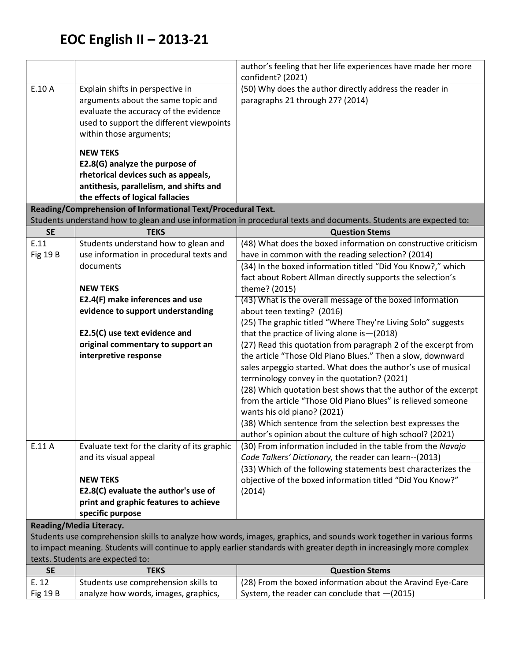Fig 19 B

analyze how words, images, graphics,

|                 |                                                              | author's feeling that her life experiences have made her more                                                        |
|-----------------|--------------------------------------------------------------|----------------------------------------------------------------------------------------------------------------------|
|                 |                                                              | confident? (2021)                                                                                                    |
| E.10 A          | Explain shifts in perspective in                             | (50) Why does the author directly address the reader in                                                              |
|                 | arguments about the same topic and                           | paragraphs 21 through 27? (2014)                                                                                     |
|                 | evaluate the accuracy of the evidence                        |                                                                                                                      |
|                 | used to support the different viewpoints                     |                                                                                                                      |
|                 | within those arguments;                                      |                                                                                                                      |
|                 | <b>NEW TEKS</b>                                              |                                                                                                                      |
|                 | E2.8(G) analyze the purpose of                               |                                                                                                                      |
|                 | rhetorical devices such as appeals,                          |                                                                                                                      |
|                 | antithesis, parallelism, and shifts and                      |                                                                                                                      |
|                 | the effects of logical fallacies                             |                                                                                                                      |
|                 | Reading/Comprehension of Informational Text/Procedural Text. |                                                                                                                      |
|                 |                                                              | Students understand how to glean and use information in procedural texts and documents. Students are expected to:    |
| <b>SE</b>       | <b>TEKS</b>                                                  | <b>Question Stems</b>                                                                                                |
| E.11            | Students understand how to glean and                         | (48) What does the boxed information on constructive criticism                                                       |
| <b>Fig 19 B</b> | use information in procedural texts and                      | have in common with the reading selection? (2014)                                                                    |
|                 | documents                                                    | (34) In the boxed information titled "Did You Know?," which                                                          |
|                 |                                                              | fact about Robert Allman directly supports the selection's                                                           |
|                 | <b>NEW TEKS</b>                                              | theme? (2015)                                                                                                        |
|                 | E2.4(F) make inferences and use                              | (43) What is the overall message of the boxed information                                                            |
|                 | evidence to support understanding                            | about teen texting? (2016)<br>(25) The graphic titled "Where They're Living Solo" suggests                           |
|                 | E2.5(C) use text evidence and                                | that the practice of living alone is - (2018)                                                                        |
|                 | original commentary to support an                            | (27) Read this quotation from paragraph 2 of the excerpt from                                                        |
|                 | interpretive response                                        | the article "Those Old Piano Blues." Then a slow, downward                                                           |
|                 |                                                              | sales arpeggio started. What does the author's use of musical                                                        |
|                 |                                                              | terminology convey in the quotation? (2021)                                                                          |
|                 |                                                              | (28) Which quotation best shows that the author of the excerpt                                                       |
|                 |                                                              | from the article "Those Old Piano Blues" is relieved someone                                                         |
|                 |                                                              | wants his old piano? (2021)                                                                                          |
|                 |                                                              | (38) Which sentence from the selection best expresses the                                                            |
|                 |                                                              | author's opinion about the culture of high school? (2021)                                                            |
| E.11 A          | Evaluate text for the clarity of its graphic                 | (30) From information included in the table from the Navajo                                                          |
|                 | and its visual appeal                                        | Code Talkers' Dictionary, the reader can learn--(2013)                                                               |
|                 |                                                              | (33) Which of the following statements best characterizes the                                                        |
|                 | <b>NEW TEKS</b>                                              | objective of the boxed information titled "Did You Know?"                                                            |
|                 | E2.8(C) evaluate the author's use of                         | (2014)                                                                                                               |
|                 | print and graphic features to achieve                        |                                                                                                                      |
|                 | specific purpose                                             |                                                                                                                      |
|                 | Reading/Media Literacy.                                      |                                                                                                                      |
|                 |                                                              | Students use comprehension skills to analyze how words, images, graphics, and sounds work together in various forms  |
|                 |                                                              | to impact meaning. Students will continue to apply earlier standards with greater depth in increasingly more complex |
|                 | texts. Students are expected to:                             |                                                                                                                      |
| <b>SE</b>       | <b>TEKS</b>                                                  | <b>Question Stems</b>                                                                                                |
| E. 12           | Students use comprehension skills to                         | (28) From the boxed information about the Aravind Eye-Care                                                           |

System, the reader can conclude that —(2015)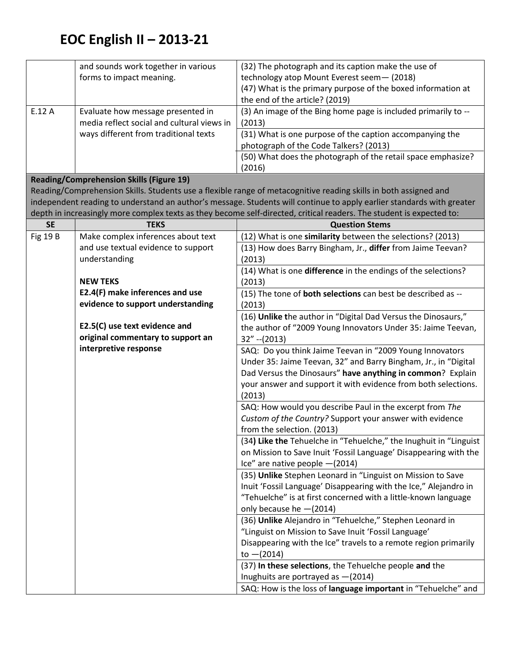|                 | and sounds work together in various             | (32) The photograph and its caption make the use of                                                                   |
|-----------------|-------------------------------------------------|-----------------------------------------------------------------------------------------------------------------------|
|                 | forms to impact meaning.                        | technology atop Mount Everest seem- (2018)                                                                            |
|                 |                                                 | (47) What is the primary purpose of the boxed information at                                                          |
|                 |                                                 | the end of the article? (2019)                                                                                        |
| E.12 A          | Evaluate how message presented in               | (3) An image of the Bing home page is included primarily to --                                                        |
|                 | media reflect social and cultural views in      | (2013)                                                                                                                |
|                 | ways different from traditional texts           | (31) What is one purpose of the caption accompanying the                                                              |
|                 |                                                 | photograph of the Code Talkers? (2013)                                                                                |
|                 |                                                 | (50) What does the photograph of the retail space emphasize?                                                          |
|                 |                                                 | (2016)                                                                                                                |
|                 | <b>Reading/Comprehension Skills (Figure 19)</b> |                                                                                                                       |
|                 |                                                 | Reading/Comprehension Skills. Students use a flexible range of metacognitive reading skills in both assigned and      |
|                 |                                                 | independent reading to understand an author's message. Students will continue to apply earlier standards with greater |
|                 |                                                 | depth in increasingly more complex texts as they become self-directed, critical readers. The student is expected to:  |
| <b>SE</b>       | <b>TEKS</b>                                     | <b>Question Stems</b>                                                                                                 |
| <b>Fig 19 B</b> | Make complex inferences about text              | (12) What is one similarity between the selections? (2013)                                                            |
|                 | and use textual evidence to support             | (13) How does Barry Bingham, Jr., differ from Jaime Teevan?                                                           |
|                 | understanding                                   | (2013)                                                                                                                |
|                 |                                                 | (14) What is one difference in the endings of the selections?                                                         |
|                 | <b>NEW TEKS</b>                                 | (2013)                                                                                                                |
|                 | E2.4(F) make inferences and use                 | (15) The tone of <b>both selections</b> can best be described as --                                                   |
|                 | evidence to support understanding               | (2013)                                                                                                                |
|                 |                                                 | (16) Unlike the author in "Digital Dad Versus the Dinosaurs,"                                                         |
|                 | E2.5(C) use text evidence and                   | the author of "2009 Young Innovators Under 35: Jaime Teevan,                                                          |
|                 | original commentary to support an               | $32'' - (2013)$                                                                                                       |
|                 | interpretive response                           | SAQ: Do you think Jaime Teevan in "2009 Young Innovators                                                              |
|                 |                                                 | Under 35: Jaime Teevan, 32" and Barry Bingham, Jr., in "Digital                                                       |
|                 |                                                 | Dad Versus the Dinosaurs" have anything in common? Explain                                                            |
|                 |                                                 | your answer and support it with evidence from both selections.                                                        |
|                 |                                                 | (2013)                                                                                                                |
|                 |                                                 | SAQ: How would you describe Paul in the excerpt from The                                                              |
|                 |                                                 | Custom of the Country? Support your answer with evidence                                                              |
|                 |                                                 | from the selection. (2013)                                                                                            |
|                 |                                                 | (34) Like the Tehuelche in "Tehuelche," the Inughuit in "Linguist                                                     |
|                 |                                                 | on Mission to Save Inuit 'Fossil Language' Disappearing with the                                                      |
|                 |                                                 | Ice" are native people $-(2014)$                                                                                      |
|                 |                                                 | (35) Unlike Stephen Leonard in "Linguist on Mission to Save                                                           |
|                 |                                                 | Inuit 'Fossil Language' Disappearing with the Ice," Alejandro in                                                      |
|                 |                                                 | "Tehuelche" is at first concerned with a little-known language                                                        |
|                 |                                                 | only because he -(2014)                                                                                               |
|                 |                                                 | (36) Unlike Alejandro in "Tehuelche," Stephen Leonard in                                                              |
|                 |                                                 | "Linguist on Mission to Save Inuit 'Fossil Language'                                                                  |
|                 |                                                 | Disappearing with the Ice" travels to a remote region primarily                                                       |
|                 |                                                 | to $-(2014)$                                                                                                          |
|                 |                                                 | (37) In these selections, the Tehuelche people and the                                                                |
|                 |                                                 | Inughuits are portrayed as -(2014)                                                                                    |
|                 |                                                 | SAQ: How is the loss of language important in "Tehuelche" and                                                         |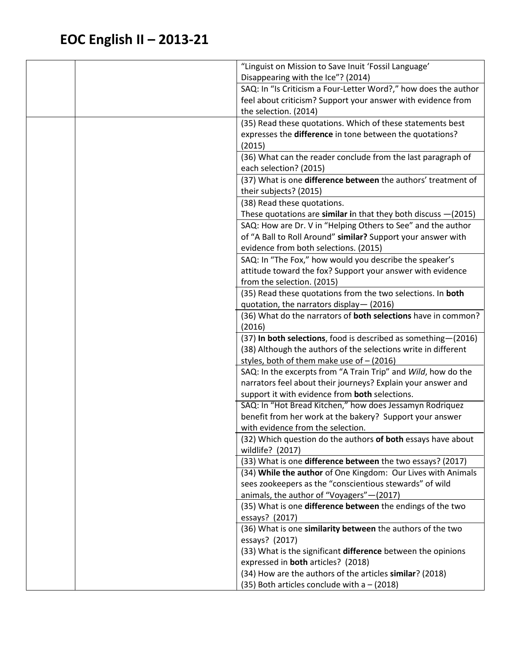| Disappearing with the Ice"? (2014)<br>SAQ: In "Is Criticism a Four-Letter Word?," how does the author<br>feel about criticism? Support your answer with evidence from<br>the selection. (2014)<br>(35) Read these quotations. Which of these statements best<br>expresses the difference in tone between the quotations?<br>(2015)<br>(36) What can the reader conclude from the last paragraph of<br>each selection? (2015)<br>(37) What is one difference between the authors' treatment of<br>their subjects? (2015)<br>(38) Read these quotations.<br>These quotations are similar in that they both discuss $-(2015)$<br>SAQ: How are Dr. V in "Helping Others to See" and the author<br>of "A Ball to Roll Around" similar? Support your answer with<br>evidence from both selections. (2015)<br>SAQ: In "The Fox," how would you describe the speaker's<br>attitude toward the fox? Support your answer with evidence<br>from the selection. (2015)<br>(35) Read these quotations from the two selections. In both<br>quotation, the narrators display-(2016)<br>(36) What do the narrators of <b>both selections</b> have in common?<br>(2016)<br>(37) In both selections, food is described as something-(2016)<br>(38) Although the authors of the selections write in different<br>styles, both of them make use of - (2016)<br>SAQ: In the excerpts from "A Train Trip" and Wild, how do the<br>narrators feel about their journeys? Explain your answer and<br>support it with evidence from both selections.<br>SAQ: In "Hot Bread Kitchen," how does Jessamyn Rodriquez<br>benefit from her work at the bakery? Support your answer<br>with evidence from the selection.<br>(32) Which question do the authors of both essays have about<br>wildlife? (2017)<br>(33) What is one difference between the two essays? (2017) |
|-------------------------------------------------------------------------------------------------------------------------------------------------------------------------------------------------------------------------------------------------------------------------------------------------------------------------------------------------------------------------------------------------------------------------------------------------------------------------------------------------------------------------------------------------------------------------------------------------------------------------------------------------------------------------------------------------------------------------------------------------------------------------------------------------------------------------------------------------------------------------------------------------------------------------------------------------------------------------------------------------------------------------------------------------------------------------------------------------------------------------------------------------------------------------------------------------------------------------------------------------------------------------------------------------------------------------------------------------------------------------------------------------------------------------------------------------------------------------------------------------------------------------------------------------------------------------------------------------------------------------------------------------------------------------------------------------------------------------------------------------------------------------------------------------------------------------------------------|
|                                                                                                                                                                                                                                                                                                                                                                                                                                                                                                                                                                                                                                                                                                                                                                                                                                                                                                                                                                                                                                                                                                                                                                                                                                                                                                                                                                                                                                                                                                                                                                                                                                                                                                                                                                                                                                           |
|                                                                                                                                                                                                                                                                                                                                                                                                                                                                                                                                                                                                                                                                                                                                                                                                                                                                                                                                                                                                                                                                                                                                                                                                                                                                                                                                                                                                                                                                                                                                                                                                                                                                                                                                                                                                                                           |
|                                                                                                                                                                                                                                                                                                                                                                                                                                                                                                                                                                                                                                                                                                                                                                                                                                                                                                                                                                                                                                                                                                                                                                                                                                                                                                                                                                                                                                                                                                                                                                                                                                                                                                                                                                                                                                           |
|                                                                                                                                                                                                                                                                                                                                                                                                                                                                                                                                                                                                                                                                                                                                                                                                                                                                                                                                                                                                                                                                                                                                                                                                                                                                                                                                                                                                                                                                                                                                                                                                                                                                                                                                                                                                                                           |
|                                                                                                                                                                                                                                                                                                                                                                                                                                                                                                                                                                                                                                                                                                                                                                                                                                                                                                                                                                                                                                                                                                                                                                                                                                                                                                                                                                                                                                                                                                                                                                                                                                                                                                                                                                                                                                           |
|                                                                                                                                                                                                                                                                                                                                                                                                                                                                                                                                                                                                                                                                                                                                                                                                                                                                                                                                                                                                                                                                                                                                                                                                                                                                                                                                                                                                                                                                                                                                                                                                                                                                                                                                                                                                                                           |
|                                                                                                                                                                                                                                                                                                                                                                                                                                                                                                                                                                                                                                                                                                                                                                                                                                                                                                                                                                                                                                                                                                                                                                                                                                                                                                                                                                                                                                                                                                                                                                                                                                                                                                                                                                                                                                           |
|                                                                                                                                                                                                                                                                                                                                                                                                                                                                                                                                                                                                                                                                                                                                                                                                                                                                                                                                                                                                                                                                                                                                                                                                                                                                                                                                                                                                                                                                                                                                                                                                                                                                                                                                                                                                                                           |
|                                                                                                                                                                                                                                                                                                                                                                                                                                                                                                                                                                                                                                                                                                                                                                                                                                                                                                                                                                                                                                                                                                                                                                                                                                                                                                                                                                                                                                                                                                                                                                                                                                                                                                                                                                                                                                           |
|                                                                                                                                                                                                                                                                                                                                                                                                                                                                                                                                                                                                                                                                                                                                                                                                                                                                                                                                                                                                                                                                                                                                                                                                                                                                                                                                                                                                                                                                                                                                                                                                                                                                                                                                                                                                                                           |
|                                                                                                                                                                                                                                                                                                                                                                                                                                                                                                                                                                                                                                                                                                                                                                                                                                                                                                                                                                                                                                                                                                                                                                                                                                                                                                                                                                                                                                                                                                                                                                                                                                                                                                                                                                                                                                           |
|                                                                                                                                                                                                                                                                                                                                                                                                                                                                                                                                                                                                                                                                                                                                                                                                                                                                                                                                                                                                                                                                                                                                                                                                                                                                                                                                                                                                                                                                                                                                                                                                                                                                                                                                                                                                                                           |
|                                                                                                                                                                                                                                                                                                                                                                                                                                                                                                                                                                                                                                                                                                                                                                                                                                                                                                                                                                                                                                                                                                                                                                                                                                                                                                                                                                                                                                                                                                                                                                                                                                                                                                                                                                                                                                           |
|                                                                                                                                                                                                                                                                                                                                                                                                                                                                                                                                                                                                                                                                                                                                                                                                                                                                                                                                                                                                                                                                                                                                                                                                                                                                                                                                                                                                                                                                                                                                                                                                                                                                                                                                                                                                                                           |
|                                                                                                                                                                                                                                                                                                                                                                                                                                                                                                                                                                                                                                                                                                                                                                                                                                                                                                                                                                                                                                                                                                                                                                                                                                                                                                                                                                                                                                                                                                                                                                                                                                                                                                                                                                                                                                           |
|                                                                                                                                                                                                                                                                                                                                                                                                                                                                                                                                                                                                                                                                                                                                                                                                                                                                                                                                                                                                                                                                                                                                                                                                                                                                                                                                                                                                                                                                                                                                                                                                                                                                                                                                                                                                                                           |
|                                                                                                                                                                                                                                                                                                                                                                                                                                                                                                                                                                                                                                                                                                                                                                                                                                                                                                                                                                                                                                                                                                                                                                                                                                                                                                                                                                                                                                                                                                                                                                                                                                                                                                                                                                                                                                           |
|                                                                                                                                                                                                                                                                                                                                                                                                                                                                                                                                                                                                                                                                                                                                                                                                                                                                                                                                                                                                                                                                                                                                                                                                                                                                                                                                                                                                                                                                                                                                                                                                                                                                                                                                                                                                                                           |
|                                                                                                                                                                                                                                                                                                                                                                                                                                                                                                                                                                                                                                                                                                                                                                                                                                                                                                                                                                                                                                                                                                                                                                                                                                                                                                                                                                                                                                                                                                                                                                                                                                                                                                                                                                                                                                           |
|                                                                                                                                                                                                                                                                                                                                                                                                                                                                                                                                                                                                                                                                                                                                                                                                                                                                                                                                                                                                                                                                                                                                                                                                                                                                                                                                                                                                                                                                                                                                                                                                                                                                                                                                                                                                                                           |
|                                                                                                                                                                                                                                                                                                                                                                                                                                                                                                                                                                                                                                                                                                                                                                                                                                                                                                                                                                                                                                                                                                                                                                                                                                                                                                                                                                                                                                                                                                                                                                                                                                                                                                                                                                                                                                           |
|                                                                                                                                                                                                                                                                                                                                                                                                                                                                                                                                                                                                                                                                                                                                                                                                                                                                                                                                                                                                                                                                                                                                                                                                                                                                                                                                                                                                                                                                                                                                                                                                                                                                                                                                                                                                                                           |
|                                                                                                                                                                                                                                                                                                                                                                                                                                                                                                                                                                                                                                                                                                                                                                                                                                                                                                                                                                                                                                                                                                                                                                                                                                                                                                                                                                                                                                                                                                                                                                                                                                                                                                                                                                                                                                           |
|                                                                                                                                                                                                                                                                                                                                                                                                                                                                                                                                                                                                                                                                                                                                                                                                                                                                                                                                                                                                                                                                                                                                                                                                                                                                                                                                                                                                                                                                                                                                                                                                                                                                                                                                                                                                                                           |
|                                                                                                                                                                                                                                                                                                                                                                                                                                                                                                                                                                                                                                                                                                                                                                                                                                                                                                                                                                                                                                                                                                                                                                                                                                                                                                                                                                                                                                                                                                                                                                                                                                                                                                                                                                                                                                           |
|                                                                                                                                                                                                                                                                                                                                                                                                                                                                                                                                                                                                                                                                                                                                                                                                                                                                                                                                                                                                                                                                                                                                                                                                                                                                                                                                                                                                                                                                                                                                                                                                                                                                                                                                                                                                                                           |
|                                                                                                                                                                                                                                                                                                                                                                                                                                                                                                                                                                                                                                                                                                                                                                                                                                                                                                                                                                                                                                                                                                                                                                                                                                                                                                                                                                                                                                                                                                                                                                                                                                                                                                                                                                                                                                           |
|                                                                                                                                                                                                                                                                                                                                                                                                                                                                                                                                                                                                                                                                                                                                                                                                                                                                                                                                                                                                                                                                                                                                                                                                                                                                                                                                                                                                                                                                                                                                                                                                                                                                                                                                                                                                                                           |
|                                                                                                                                                                                                                                                                                                                                                                                                                                                                                                                                                                                                                                                                                                                                                                                                                                                                                                                                                                                                                                                                                                                                                                                                                                                                                                                                                                                                                                                                                                                                                                                                                                                                                                                                                                                                                                           |
|                                                                                                                                                                                                                                                                                                                                                                                                                                                                                                                                                                                                                                                                                                                                                                                                                                                                                                                                                                                                                                                                                                                                                                                                                                                                                                                                                                                                                                                                                                                                                                                                                                                                                                                                                                                                                                           |
|                                                                                                                                                                                                                                                                                                                                                                                                                                                                                                                                                                                                                                                                                                                                                                                                                                                                                                                                                                                                                                                                                                                                                                                                                                                                                                                                                                                                                                                                                                                                                                                                                                                                                                                                                                                                                                           |
|                                                                                                                                                                                                                                                                                                                                                                                                                                                                                                                                                                                                                                                                                                                                                                                                                                                                                                                                                                                                                                                                                                                                                                                                                                                                                                                                                                                                                                                                                                                                                                                                                                                                                                                                                                                                                                           |
|                                                                                                                                                                                                                                                                                                                                                                                                                                                                                                                                                                                                                                                                                                                                                                                                                                                                                                                                                                                                                                                                                                                                                                                                                                                                                                                                                                                                                                                                                                                                                                                                                                                                                                                                                                                                                                           |
|                                                                                                                                                                                                                                                                                                                                                                                                                                                                                                                                                                                                                                                                                                                                                                                                                                                                                                                                                                                                                                                                                                                                                                                                                                                                                                                                                                                                                                                                                                                                                                                                                                                                                                                                                                                                                                           |
|                                                                                                                                                                                                                                                                                                                                                                                                                                                                                                                                                                                                                                                                                                                                                                                                                                                                                                                                                                                                                                                                                                                                                                                                                                                                                                                                                                                                                                                                                                                                                                                                                                                                                                                                                                                                                                           |
| (34) While the author of One Kingdom: Our Lives with Animals<br>sees zookeepers as the "conscientious stewards" of wild                                                                                                                                                                                                                                                                                                                                                                                                                                                                                                                                                                                                                                                                                                                                                                                                                                                                                                                                                                                                                                                                                                                                                                                                                                                                                                                                                                                                                                                                                                                                                                                                                                                                                                                   |
| animals, the author of "Voyagers" - (2017)                                                                                                                                                                                                                                                                                                                                                                                                                                                                                                                                                                                                                                                                                                                                                                                                                                                                                                                                                                                                                                                                                                                                                                                                                                                                                                                                                                                                                                                                                                                                                                                                                                                                                                                                                                                                |
| (35) What is one difference between the endings of the two                                                                                                                                                                                                                                                                                                                                                                                                                                                                                                                                                                                                                                                                                                                                                                                                                                                                                                                                                                                                                                                                                                                                                                                                                                                                                                                                                                                                                                                                                                                                                                                                                                                                                                                                                                                |
| essays? (2017)                                                                                                                                                                                                                                                                                                                                                                                                                                                                                                                                                                                                                                                                                                                                                                                                                                                                                                                                                                                                                                                                                                                                                                                                                                                                                                                                                                                                                                                                                                                                                                                                                                                                                                                                                                                                                            |
| (36) What is one similarity between the authors of the two                                                                                                                                                                                                                                                                                                                                                                                                                                                                                                                                                                                                                                                                                                                                                                                                                                                                                                                                                                                                                                                                                                                                                                                                                                                                                                                                                                                                                                                                                                                                                                                                                                                                                                                                                                                |
| essays? (2017)                                                                                                                                                                                                                                                                                                                                                                                                                                                                                                                                                                                                                                                                                                                                                                                                                                                                                                                                                                                                                                                                                                                                                                                                                                                                                                                                                                                                                                                                                                                                                                                                                                                                                                                                                                                                                            |
| (33) What is the significant difference between the opinions                                                                                                                                                                                                                                                                                                                                                                                                                                                                                                                                                                                                                                                                                                                                                                                                                                                                                                                                                                                                                                                                                                                                                                                                                                                                                                                                                                                                                                                                                                                                                                                                                                                                                                                                                                              |
| expressed in both articles? (2018)                                                                                                                                                                                                                                                                                                                                                                                                                                                                                                                                                                                                                                                                                                                                                                                                                                                                                                                                                                                                                                                                                                                                                                                                                                                                                                                                                                                                                                                                                                                                                                                                                                                                                                                                                                                                        |
| (34) How are the authors of the articles similar? (2018)                                                                                                                                                                                                                                                                                                                                                                                                                                                                                                                                                                                                                                                                                                                                                                                                                                                                                                                                                                                                                                                                                                                                                                                                                                                                                                                                                                                                                                                                                                                                                                                                                                                                                                                                                                                  |
| (35) Both articles conclude with $a - (2018)$                                                                                                                                                                                                                                                                                                                                                                                                                                                                                                                                                                                                                                                                                                                                                                                                                                                                                                                                                                                                                                                                                                                                                                                                                                                                                                                                                                                                                                                                                                                                                                                                                                                                                                                                                                                             |